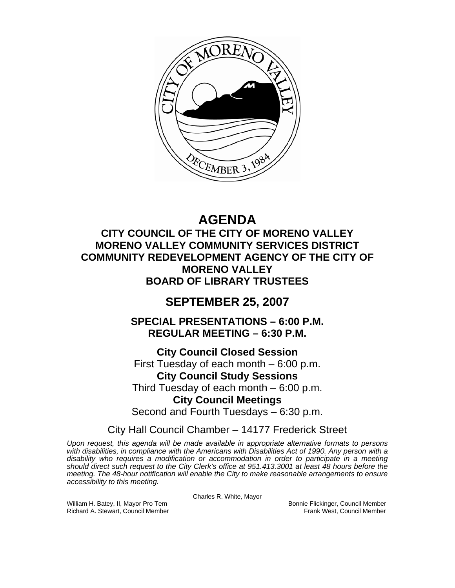

# **AGENDA**

**CITY COUNCIL OF THE CITY OF MORENO VALLEY MORENO VALLEY COMMUNITY SERVICES DISTRICT COMMUNITY REDEVELOPMENT AGENCY OF THE CITY OF MORENO VALLEY BOARD OF LIBRARY TRUSTEES** 

## **SEPTEMBER 25, 2007**

**SPECIAL PRESENTATIONS – 6:00 P.M. REGULAR MEETING – 6:30 P.M.** 

**City Council Closed Session**  First Tuesday of each month – 6:00 p.m. **City Council Study Sessions**  Third Tuesday of each month – 6:00 p.m. **City Council Meetings** 

Second and Fourth Tuesdays – 6:30 p.m.

City Hall Council Chamber – 14177 Frederick Street

*Upon request, this agenda will be made available in appropriate alternative formats to persons with disabilities, in compliance with the Americans with Disabilities Act of 1990. Any person with a disability who requires a modification or accommodation in order to participate in a meeting should direct such request to the City Clerk's office at 951.413.3001 at least 48 hours before the meeting. The 48-hour notification will enable the City to make reasonable arrangements to ensure accessibility to this meeting.* 

Charles R. White, Mayor

William H. Batey, II, Mayor Pro Tem Bonnie Flickinger, Council Member Richard A. Stewart, Council Member **Frank West, Council Member** Frank West, Council Member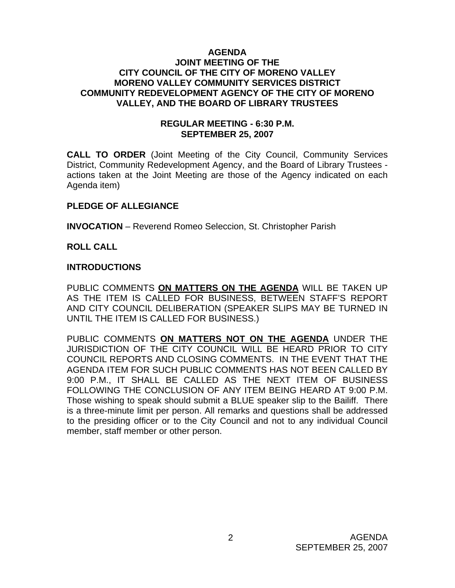## **AGENDA JOINT MEETING OF THE CITY COUNCIL OF THE CITY OF MORENO VALLEY MORENO VALLEY COMMUNITY SERVICES DISTRICT COMMUNITY REDEVELOPMENT AGENCY OF THE CITY OF MORENO VALLEY, AND THE BOARD OF LIBRARY TRUSTEES**

## **REGULAR MEETING - 6:30 P.M. SEPTEMBER 25, 2007**

**CALL TO ORDER** (Joint Meeting of the City Council, Community Services District, Community Redevelopment Agency, and the Board of Library Trustees actions taken at the Joint Meeting are those of the Agency indicated on each Agenda item)

## **PLEDGE OF ALLEGIANCE**

**INVOCATION** – Reverend Romeo Seleccion, St. Christopher Parish

## **ROLL CALL**

## **INTRODUCTIONS**

PUBLIC COMMENTS **ON MATTERS ON THE AGENDA** WILL BE TAKEN UP AS THE ITEM IS CALLED FOR BUSINESS, BETWEEN STAFF'S REPORT AND CITY COUNCIL DELIBERATION (SPEAKER SLIPS MAY BE TURNED IN UNTIL THE ITEM IS CALLED FOR BUSINESS.)

PUBLIC COMMENTS **ON MATTERS NOT ON THE AGENDA** UNDER THE JURISDICTION OF THE CITY COUNCIL WILL BE HEARD PRIOR TO CITY COUNCIL REPORTS AND CLOSING COMMENTS. IN THE EVENT THAT THE AGENDA ITEM FOR SUCH PUBLIC COMMENTS HAS NOT BEEN CALLED BY 9:00 P.M., IT SHALL BE CALLED AS THE NEXT ITEM OF BUSINESS FOLLOWING THE CONCLUSION OF ANY ITEM BEING HEARD AT 9:00 P.M. Those wishing to speak should submit a BLUE speaker slip to the Bailiff. There is a three-minute limit per person. All remarks and questions shall be addressed to the presiding officer or to the City Council and not to any individual Council member, staff member or other person.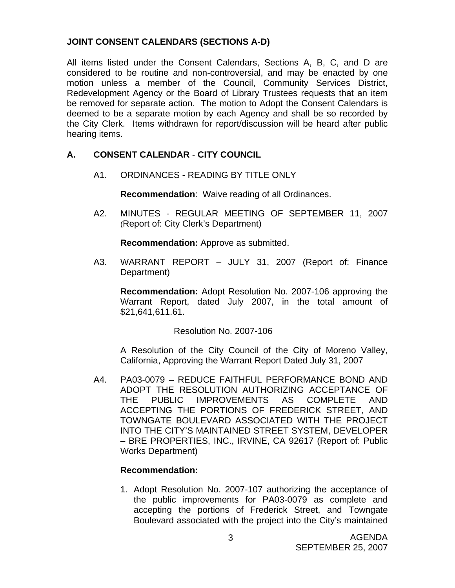## **JOINT CONSENT CALENDARS (SECTIONS A-D)**

All items listed under the Consent Calendars, Sections A, B, C, and D are considered to be routine and non-controversial, and may be enacted by one motion unless a member of the Council, Community Services District, Redevelopment Agency or the Board of Library Trustees requests that an item be removed for separate action. The motion to Adopt the Consent Calendars is deemed to be a separate motion by each Agency and shall be so recorded by the City Clerk. Items withdrawn for report/discussion will be heard after public hearing items.

## **A. CONSENT CALENDAR** - **CITY COUNCIL**

A1. ORDINANCES - READING BY TITLE ONLY

**Recommendation**: Waive reading of all Ordinances.

A2. MINUTES - REGULAR MEETING OF SEPTEMBER 11, 2007 (Report of: City Clerk's Department)

**Recommendation:** Approve as submitted.

A3. WARRANT REPORT – JULY 31, 2007 (Report of: Finance Department)

**Recommendation:** Adopt Resolution No. 2007-106 approving the Warrant Report, dated July 2007, in the total amount of \$21,641,611.61.

Resolution No. 2007-106

 A Resolution of the City Council of the City of Moreno Valley, California, Approving the Warrant Report Dated July 31, 2007

A4. PA03-0079 – REDUCE FAITHFUL PERFORMANCE BOND AND ADOPT THE RESOLUTION AUTHORIZING ACCEPTANCE OF THE PUBLIC IMPROVEMENTS AS COMPLETE AND ACCEPTING THE PORTIONS OF FREDERICK STREET, AND TOWNGATE BOULEVARD ASSOCIATED WITH THE PROJECT INTO THE CITY'S MAINTAINED STREET SYSTEM, DEVELOPER – BRE PROPERTIES, INC., IRVINE, CA 92617 (Report of: Public Works Department)

## **Recommendation:**

1. Adopt Resolution No. 2007-107 authorizing the acceptance of the public improvements for PA03-0079 as complete and accepting the portions of Frederick Street, and Towngate Boulevard associated with the project into the City's maintained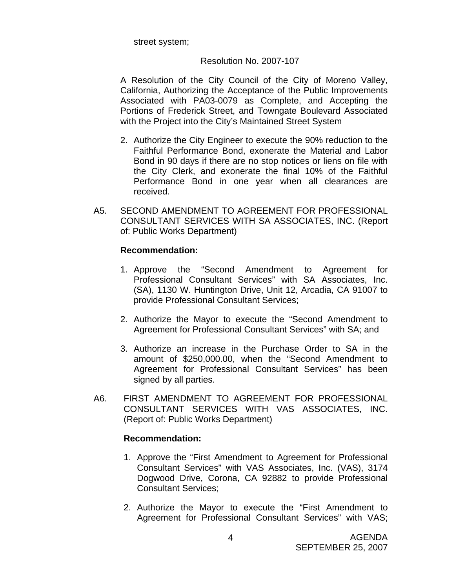street system;

#### Resolution No. 2007-107

 A Resolution of the City Council of the City of Moreno Valley, California, Authorizing the Acceptance of the Public Improvements Associated with PA03-0079 as Complete, and Accepting the Portions of Frederick Street, and Towngate Boulevard Associated with the Project into the City's Maintained Street System

- 2. Authorize the City Engineer to execute the 90% reduction to the Faithful Performance Bond, exonerate the Material and Labor Bond in 90 days if there are no stop notices or liens on file with the City Clerk, and exonerate the final 10% of the Faithful Performance Bond in one year when all clearances are received.
- A5. SECOND AMENDMENT TO AGREEMENT FOR PROFESSIONAL CONSULTANT SERVICES WITH SA ASSOCIATES, INC. (Report of: Public Works Department)

#### **Recommendation:**

- 1. Approve the "Second Amendment to Agreement for Professional Consultant Services" with SA Associates, Inc. (SA), 1130 W. Huntington Drive, Unit 12, Arcadia, CA 91007 to provide Professional Consultant Services;
- 2. Authorize the Mayor to execute the "Second Amendment to Agreement for Professional Consultant Services" with SA; and
- 3. Authorize an increase in the Purchase Order to SA in the amount of \$250,000.00, when the "Second Amendment to Agreement for Professional Consultant Services" has been signed by all parties.
- A6. FIRST AMENDMENT TO AGREEMENT FOR PROFESSIONAL CONSULTANT SERVICES WITH VAS ASSOCIATES, INC. (Report of: Public Works Department)

#### **Recommendation:**

- 1. Approve the "First Amendment to Agreement for Professional Consultant Services" with VAS Associates, Inc. (VAS), 3174 Dogwood Drive, Corona, CA 92882 to provide Professional Consultant Services;
- 2. Authorize the Mayor to execute the "First Amendment to Agreement for Professional Consultant Services" with VAS;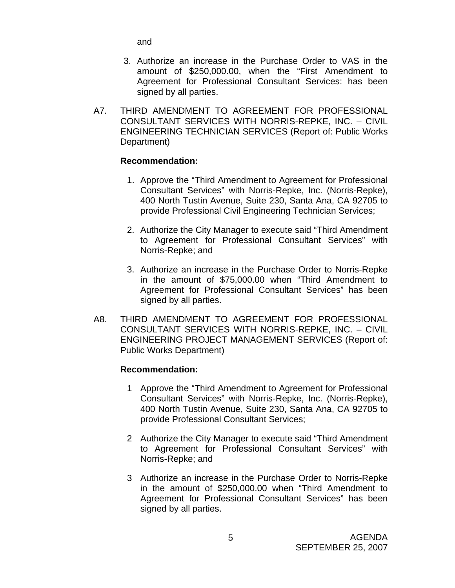and

- 3. Authorize an increase in the Purchase Order to VAS in the amount of \$250,000.00, when the "First Amendment to Agreement for Professional Consultant Services: has been signed by all parties.
- A7. THIRD AMENDMENT TO AGREEMENT FOR PROFESSIONAL CONSULTANT SERVICES WITH NORRIS-REPKE, INC. – CIVIL ENGINEERING TECHNICIAN SERVICES (Report of: Public Works Department)

#### **Recommendation:**

- 1. Approve the "Third Amendment to Agreement for Professional Consultant Services" with Norris-Repke, Inc. (Norris-Repke), 400 North Tustin Avenue, Suite 230, Santa Ana, CA 92705 to provide Professional Civil Engineering Technician Services;
- 2. Authorize the City Manager to execute said "Third Amendment to Agreement for Professional Consultant Services" with Norris-Repke; and
- 3. Authorize an increase in the Purchase Order to Norris-Repke in the amount of \$75,000.00 when "Third Amendment to Agreement for Professional Consultant Services" has been signed by all parties.
- A8. THIRD AMENDMENT TO AGREEMENT FOR PROFESSIONAL CONSULTANT SERVICES WITH NORRIS-REPKE, INC. – CIVIL ENGINEERING PROJECT MANAGEMENT SERVICES (Report of: Public Works Department)

## **Recommendation:**

- 1 Approve the "Third Amendment to Agreement for Professional Consultant Services" with Norris-Repke, Inc. (Norris-Repke), 400 North Tustin Avenue, Suite 230, Santa Ana, CA 92705 to provide Professional Consultant Services;
- 2 Authorize the City Manager to execute said "Third Amendment to Agreement for Professional Consultant Services" with Norris-Repke; and
- 3 Authorize an increase in the Purchase Order to Norris-Repke in the amount of \$250,000.00 when "Third Amendment to Agreement for Professional Consultant Services" has been signed by all parties.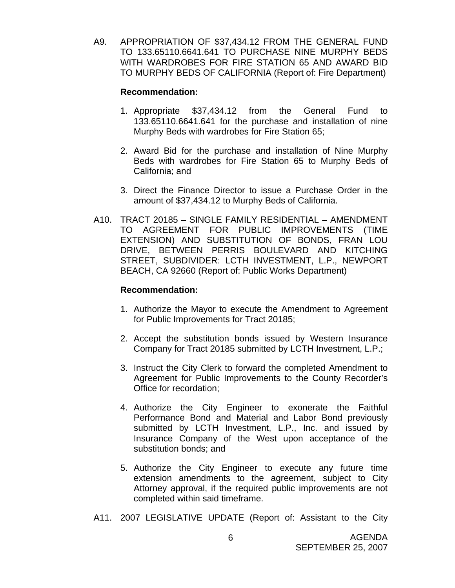A9. APPROPRIATION OF \$37,434.12 FROM THE GENERAL FUND TO 133.65110.6641.641 TO PURCHASE NINE MURPHY BEDS WITH WARDROBES FOR FIRE STATION 65 AND AWARD BID TO MURPHY BEDS OF CALIFORNIA (Report of: Fire Department)

#### **Recommendation:**

- 1. Appropriate \$37,434.12 from the General Fund to 133.65110.6641.641 for the purchase and installation of nine Murphy Beds with wardrobes for Fire Station 65;
- 2. Award Bid for the purchase and installation of Nine Murphy Beds with wardrobes for Fire Station 65 to Murphy Beds of California; and
- 3. Direct the Finance Director to issue a Purchase Order in the amount of \$37,434.12 to Murphy Beds of California.
- A10. TRACT 20185 SINGLE FAMILY RESIDENTIAL AMENDMENT TO AGREEMENT FOR PUBLIC IMPROVEMENTS (TIME EXTENSION) AND SUBSTITUTION OF BONDS, FRAN LOU DRIVE, BETWEEN PERRIS BOULEVARD AND KITCHING STREET, SUBDIVIDER: LCTH INVESTMENT, L.P., NEWPORT BEACH, CA 92660 (Report of: Public Works Department)

## **Recommendation:**

- 1. Authorize the Mayor to execute the Amendment to Agreement for Public Improvements for Tract 20185;
- 2. Accept the substitution bonds issued by Western Insurance Company for Tract 20185 submitted by LCTH Investment, L.P.;
- 3. Instruct the City Clerk to forward the completed Amendment to Agreement for Public Improvements to the County Recorder's Office for recordation;
- 4. Authorize the City Engineer to exonerate the Faithful Performance Bond and Material and Labor Bond previously submitted by LCTH Investment, L.P., Inc. and issued by Insurance Company of the West upon acceptance of the substitution bonds; and
- 5. Authorize the City Engineer to execute any future time extension amendments to the agreement, subject to City Attorney approval, if the required public improvements are not completed within said timeframe.
- A11. 2007 LEGISLATIVE UPDATE (Report of: Assistant to the City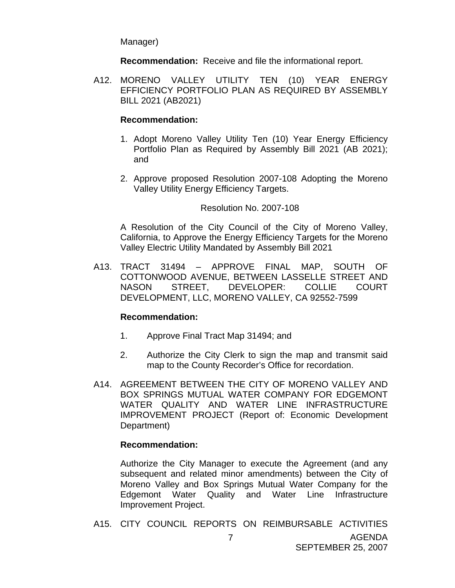Manager)

**Recommendation:** Receive and file the informational report.

 A12. MORENO VALLEY UTILITY TEN (10) YEAR ENERGY EFFICIENCY PORTFOLIO PLAN AS REQUIRED BY ASSEMBLY BILL 2021 (AB2021)

#### **Recommendation:**

- 1. Adopt Moreno Valley Utility Ten (10) Year Energy Efficiency Portfolio Plan as Required by Assembly Bill 2021 (AB 2021); and
- 2. Approve proposed Resolution 2007-108 Adopting the Moreno Valley Utility Energy Efficiency Targets.

Resolution No. 2007-108

A Resolution of the City Council of the City of Moreno Valley, California, to Approve the Energy Efficiency Targets for the Moreno Valley Electric Utility Mandated by Assembly Bill 2021

 A13. TRACT 31494 – APPROVE FINAL MAP, SOUTH OF COTTONWOOD AVENUE, BETWEEN LASSELLE STREET AND NASON STREET, DEVELOPER: COLLIE COURT DEVELOPMENT, LLC, MORENO VALLEY, CA 92552-7599

## **Recommendation:**

- 1. Approve Final Tract Map 31494; and
- 2. Authorize the City Clerk to sign the map and transmit said map to the County Recorder's Office for recordation.
- A14. AGREEMENT BETWEEN THE CITY OF MORENO VALLEY AND BOX SPRINGS MUTUAL WATER COMPANY FOR EDGEMONT WATER QUALITY AND WATER LINE INFRASTRUCTURE IMPROVEMENT PROJECT (Report of: Economic Development Department)

## **Recommendation:**

 Authorize the City Manager to execute the Agreement (and any subsequent and related minor amendments) between the City of Moreno Valley and Box Springs Mutual Water Company for the Edgemont Water Quality and Water Line Infrastructure Improvement Project.

A15. CITY COUNCIL REPORTS ON REIMBURSABLE ACTIVITIES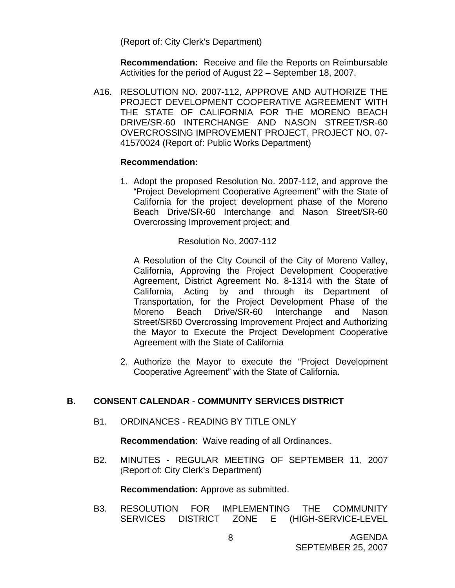(Report of: City Clerk's Department)

**Recommendation:** Receive and file the Reports on Reimbursable Activities for the period of August 22 – September 18, 2007.

 A16. RESOLUTION NO. 2007-112, APPROVE AND AUTHORIZE THE PROJECT DEVELOPMENT COOPERATIVE AGREEMENT WITH THE STATE OF CALIFORNIA FOR THE MORENO BEACH DRIVE/SR-60 INTERCHANGE AND NASON STREET/SR-60 OVERCROSSING IMPROVEMENT PROJECT, PROJECT NO. 07- 41570024 (Report of: Public Works Department)

#### **Recommendation:**

1. Adopt the proposed Resolution No. 2007-112, and approve the "Project Development Cooperative Agreement" with the State of California for the project development phase of the Moreno Beach Drive/SR-60 Interchange and Nason Street/SR-60 Overcrossing Improvement project; and

Resolution No. 2007-112

A Resolution of the City Council of the City of Moreno Valley, California, Approving the Project Development Cooperative Agreement, District Agreement No. 8-1314 with the State of California, Acting by and through its Department of Transportation, for the Project Development Phase of the Moreno Beach Drive/SR-60 Interchange and Nason Street/SR60 Overcrossing Improvement Project and Authorizing the Mayor to Execute the Project Development Cooperative Agreement with the State of California

2. Authorize the Mayor to execute the "Project Development Cooperative Agreement" with the State of California.

## **B. CONSENT CALENDAR** - **COMMUNITY SERVICES DISTRICT**

B1. ORDINANCES - READING BY TITLE ONLY

**Recommendation**: Waive reading of all Ordinances.

B2. MINUTES - REGULAR MEETING OF SEPTEMBER 11, 2007 (Report of: City Clerk's Department)

**Recommendation:** Approve as submitted.

B3. RESOLUTION FOR IMPLEMENTING THE COMMUNITY SERVICES DISTRICT ZONE E (HIGH-SERVICE-LEVEL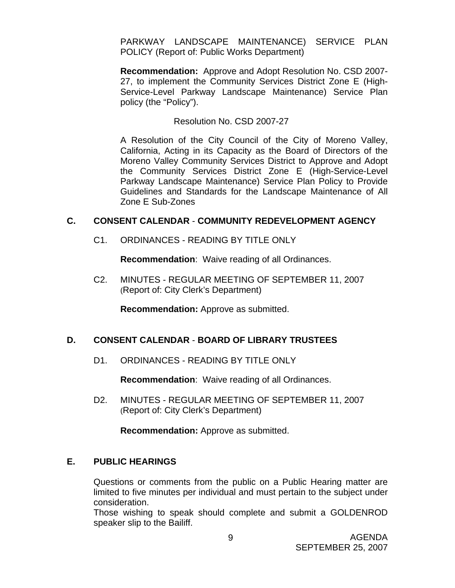PARKWAY LANDSCAPE MAINTENANCE) SERVICE PLAN POLICY (Report of: Public Works Department)

**Recommendation:** Approve and Adopt Resolution No. CSD 2007- 27, to implement the Community Services District Zone E (High-Service-Level Parkway Landscape Maintenance) Service Plan policy (the "Policy").

Resolution No. CSD 2007-27

 A Resolution of the City Council of the City of Moreno Valley, California, Acting in its Capacity as the Board of Directors of the Moreno Valley Community Services District to Approve and Adopt the Community Services District Zone E (High-Service-Level Parkway Landscape Maintenance) Service Plan Policy to Provide Guidelines and Standards for the Landscape Maintenance of All Zone E Sub-Zones

## **C. CONSENT CALENDAR** - **COMMUNITY REDEVELOPMENT AGENCY**

C1. ORDINANCES - READING BY TITLE ONLY

**Recommendation**: Waive reading of all Ordinances.

C2. MINUTES - REGULAR MEETING OF SEPTEMBER 11, 2007 (Report of: City Clerk's Department)

**Recommendation:** Approve as submitted.

## **D. CONSENT CALENDAR** - **BOARD OF LIBRARY TRUSTEES**

D1. ORDINANCES - READING BY TITLE ONLY

**Recommendation**: Waive reading of all Ordinances.

D2. MINUTES - REGULAR MEETING OF SEPTEMBER 11, 2007 (Report of: City Clerk's Department)

**Recommendation:** Approve as submitted.

## **E. PUBLIC HEARINGS**

Questions or comments from the public on a Public Hearing matter are limited to five minutes per individual and must pertain to the subject under consideration.

 Those wishing to speak should complete and submit a GOLDENROD speaker slip to the Bailiff.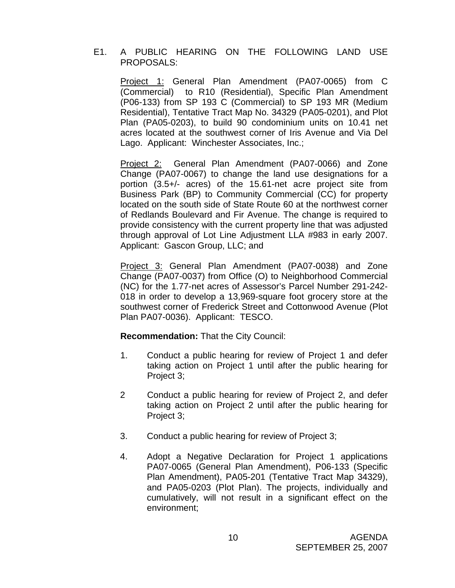## E1. A PUBLIC HEARING ON THE FOLLOWING LAND USE PROPOSALS:

Project 1: General Plan Amendment (PA07-0065) from C (Commercial) to R10 (Residential), Specific Plan Amendment (P06-133) from SP 193 C (Commercial) to SP 193 MR (Medium Residential), Tentative Tract Map No. 34329 (PA05-0201), and Plot Plan (PA05-0203), to build 90 condominium units on 10.41 net acres located at the southwest corner of Iris Avenue and Via Del Lago. Applicant: Winchester Associates, Inc.;

Project 2: General Plan Amendment (PA07-0066) and Zone Change (PA07-0067) to change the land use designations for a portion (3.5+/- acres) of the 15.61-net acre project site from Business Park (BP) to Community Commercial (CC) for property located on the south side of State Route 60 at the northwest corner of Redlands Boulevard and Fir Avenue. The change is required to provide consistency with the current property line that was adjusted through approval of Lot Line Adjustment LLA #983 in early 2007. Applicant: Gascon Group, LLC; and

Project 3: General Plan Amendment (PA07-0038) and Zone Change (PA07-0037) from Office (O) to Neighborhood Commercial (NC) for the 1.77-net acres of Assessor's Parcel Number 291-242- 018 in order to develop a 13,969-square foot grocery store at the southwest corner of Frederick Street and Cottonwood Avenue (Plot Plan PA07-0036). Applicant: TESCO.

## **Recommendation:** That the City Council:

- 1. Conduct a public hearing for review of Project 1 and defer taking action on Project 1 until after the public hearing for Project 3;
- 2 Conduct a public hearing for review of Project 2, and defer taking action on Project 2 until after the public hearing for Project 3;
- 3. Conduct a public hearing for review of Project 3;
- 4. Adopt a Negative Declaration for Project 1 applications PA07-0065 (General Plan Amendment), P06-133 (Specific Plan Amendment), PA05-201 (Tentative Tract Map 34329), and PA05-0203 (Plot Plan). The projects, individually and cumulatively, will not result in a significant effect on the environment;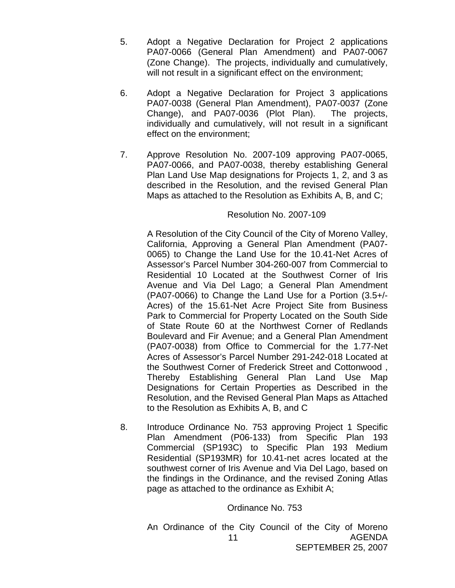- 5. Adopt a Negative Declaration for Project 2 applications PA07-0066 (General Plan Amendment) and PA07-0067 (Zone Change). The projects, individually and cumulatively, will not result in a significant effect on the environment;
- 6. Adopt a Negative Declaration for Project 3 applications PA07-0038 (General Plan Amendment), PA07-0037 (Zone Change), and PA07-0036 (Plot Plan). The projects, individually and cumulatively, will not result in a significant effect on the environment;
- 7. Approve Resolution No. 2007-109 approving PA07-0065, PA07-0066, and PA07-0038, thereby establishing General Plan Land Use Map designations for Projects 1, 2, and 3 as described in the Resolution, and the revised General Plan Maps as attached to the Resolution as Exhibits A, B, and C;

#### Resolution No. 2007-109

 A Resolution of the City Council of the City of Moreno Valley, California, Approving a General Plan Amendment (PA07- 0065) to Change the Land Use for the 10.41-Net Acres of Assessor's Parcel Number 304-260-007 from Commercial to Residential 10 Located at the Southwest Corner of Iris Avenue and Via Del Lago; a General Plan Amendment (PA07-0066) to Change the Land Use for a Portion (3.5+/- Acres) of the 15.61-Net Acre Project Site from Business Park to Commercial for Property Located on the South Side of State Route 60 at the Northwest Corner of Redlands Boulevard and Fir Avenue; and a General Plan Amendment (PA07-0038) from Office to Commercial for the 1.77-Net Acres of Assessor's Parcel Number 291-242-018 Located at the Southwest Corner of Frederick Street and Cottonwood , Thereby Establishing General Plan Land Use Map Designations for Certain Properties as Described in the Resolution, and the Revised General Plan Maps as Attached to the Resolution as Exhibits A, B, and C

8. Introduce Ordinance No. 753 approving Project 1 Specific Plan Amendment (P06-133) from Specific Plan 193 Commercial (SP193C) to Specific Plan 193 Medium Residential (SP193MR) for 10.41-net acres located at the southwest corner of Iris Avenue and Via Del Lago, based on the findings in the Ordinance, and the revised Zoning Atlas page as attached to the ordinance as Exhibit A;

## Ordinance No. 753

AGENDA SEPTEMBER 25, 2007 11 An Ordinance of the City Council of the City of Moreno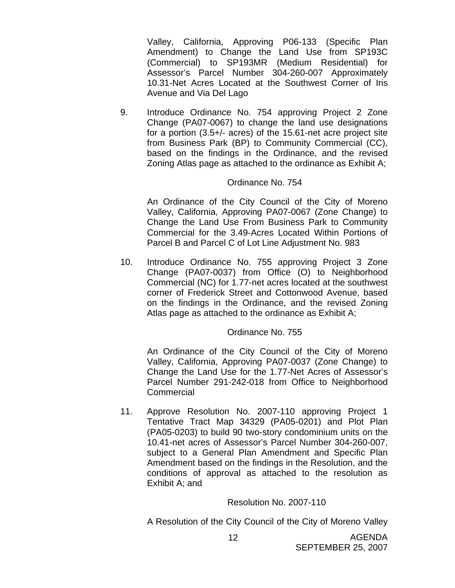Valley, California, Approving P06-133 (Specific Plan Amendment) to Change the Land Use from SP193C (Commercial) to SP193MR (Medium Residential) for Assessor's Parcel Number 304-260-007 Approximately 10.31-Net Acres Located at the Southwest Corner of Iris Avenue and Via Del Lago

9. Introduce Ordinance No. 754 approving Project 2 Zone Change (PA07-0067) to change the land use designations for a portion (3.5+/- acres) of the 15.61-net acre project site from Business Park (BP) to Community Commercial (CC), based on the findings in the Ordinance, and the revised Zoning Atlas page as attached to the ordinance as Exhibit A;

#### Ordinance No. 754

 An Ordinance of the City Council of the City of Moreno Valley, California, Approving PA07-0067 (Zone Change) to Change the Land Use From Business Park to Community Commercial for the 3.49-Acres Located Within Portions of Parcel B and Parcel C of Lot Line Adjustment No. 983

10. Introduce Ordinance No. 755 approving Project 3 Zone Change (PA07-0037) from Office (O) to Neighborhood Commercial (NC) for 1.77-net acres located at the southwest corner of Frederick Street and Cottonwood Avenue, based on the findings in the Ordinance, and the revised Zoning Atlas page as attached to the ordinance as Exhibit A;

## Ordinance No. 755

 An Ordinance of the City Council of the City of Moreno Valley, California, Approving PA07-0037 (Zone Change) to Change the Land Use for the 1.77-Net Acres of Assessor's Parcel Number 291-242-018 from Office to Neighborhood **Commercial** 

11. Approve Resolution No. 2007-110 approving Project 1 Tentative Tract Map 34329 (PA05-0201) and Plot Plan (PA05-0203) to build 90 two-story condominium units on the 10.41-net acres of Assessor's Parcel Number 304-260-007, subject to a General Plan Amendment and Specific Plan Amendment based on the findings in the Resolution, and the conditions of approval as attached to the resolution as Exhibit A; and

## Resolution No. 2007-110

A Resolution of the City Council of the City of Moreno Valley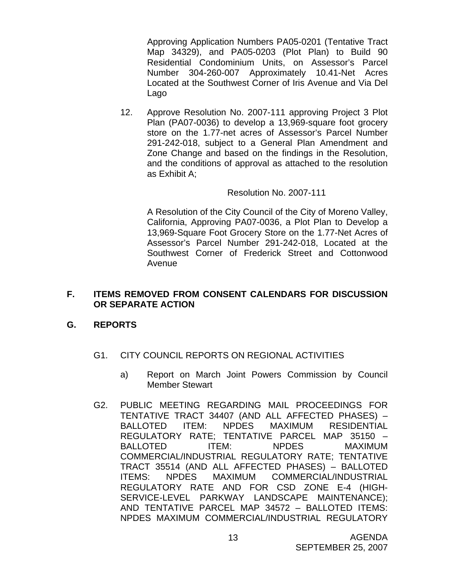Approving Application Numbers PA05-0201 (Tentative Tract Map 34329), and PA05-0203 (Plot Plan) to Build 90 Residential Condominium Units, on Assessor's Parcel Number 304-260-007 Approximately 10.41-Net Acres Located at the Southwest Corner of Iris Avenue and Via Del Lago

12. Approve Resolution No. 2007-111 approving Project 3 Plot Plan (PA07-0036) to develop a 13,969-square foot grocery store on the 1.77-net acres of Assessor's Parcel Number 291-242-018, subject to a General Plan Amendment and Zone Change and based on the findings in the Resolution, and the conditions of approval as attached to the resolution as Exhibit A;

#### Resolution No. 2007-111

 A Resolution of the City Council of the City of Moreno Valley, California, Approving PA07-0036, a Plot Plan to Develop a 13,969-Square Foot Grocery Store on the 1.77-Net Acres of Assessor's Parcel Number 291-242-018, Located at the Southwest Corner of Frederick Street and Cottonwood Avenue

## **F. ITEMS REMOVED FROM CONSENT CALENDARS FOR DISCUSSION OR SEPARATE ACTION**

## **G. REPORTS**

- G1. CITY COUNCIL REPORTS ON REGIONAL ACTIVITIES
	- a) Report on March Joint Powers Commission by Council Member Stewart
- G2. PUBLIC MEETING REGARDING MAIL PROCEEDINGS FOR TENTATIVE TRACT 34407 (AND ALL AFFECTED PHASES) – BALLOTED ITEM: NPDES MAXIMUM RESIDENTIAL REGULATORY RATE; TENTATIVE PARCEL MAP 35150 – BALLOTED ITEM: NPDES MAXIMUM COMMERCIAL/INDUSTRIAL REGULATORY RATE; TENTATIVE TRACT 35514 (AND ALL AFFECTED PHASES) – BALLOTED ITEMS: NPDES MAXIMUM COMMERCIAL/INDUSTRIAL REGULATORY RATE AND FOR CSD ZONE E-4 (HIGH-SERVICE-LEVEL PARKWAY LANDSCAPE MAINTENANCE); AND TENTATIVE PARCEL MAP 34572 – BALLOTED ITEMS: NPDES MAXIMUM COMMERCIAL/INDUSTRIAL REGULATORY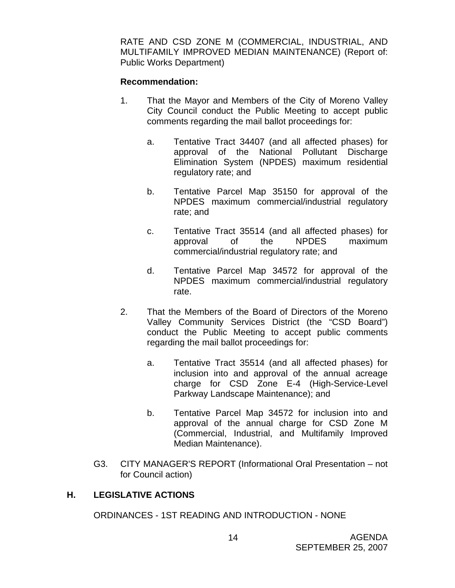RATE AND CSD ZONE M (COMMERCIAL, INDUSTRIAL, AND MULTIFAMILY IMPROVED MEDIAN MAINTENANCE) (Report of: Public Works Department)

## **Recommendation:**

- 1. That the Mayor and Members of the City of Moreno Valley City Council conduct the Public Meeting to accept public comments regarding the mail ballot proceedings for:
	- a. Tentative Tract 34407 (and all affected phases) for approval of the National Pollutant Discharge Elimination System (NPDES) maximum residential regulatory rate; and
	- b. Tentative Parcel Map 35150 for approval of the NPDES maximum commercial/industrial regulatory rate; and
	- c. Tentative Tract 35514 (and all affected phases) for approval of the NPDES maximum commercial/industrial regulatory rate; and
	- d. Tentative Parcel Map 34572 for approval of the NPDES maximum commercial/industrial regulatory rate.
- 2. That the Members of the Board of Directors of the Moreno Valley Community Services District (the "CSD Board") conduct the Public Meeting to accept public comments regarding the mail ballot proceedings for:
	- a. Tentative Tract 35514 (and all affected phases) for inclusion into and approval of the annual acreage charge for CSD Zone E-4 (High-Service-Level Parkway Landscape Maintenance); and
	- b. Tentative Parcel Map 34572 for inclusion into and approval of the annual charge for CSD Zone M (Commercial, Industrial, and Multifamily Improved Median Maintenance).
- G3. CITY MANAGER'S REPORT (Informational Oral Presentation not for Council action)

## **H. LEGISLATIVE ACTIONS**

ORDINANCES - 1ST READING AND INTRODUCTION - NONE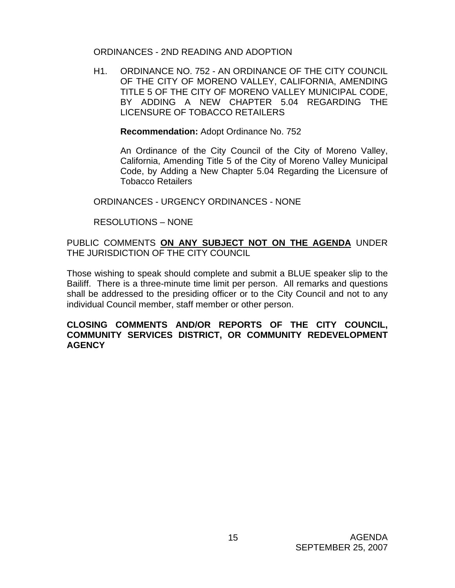## ORDINANCES - 2ND READING AND ADOPTION

H1. ORDINANCE NO. 752 - AN ORDINANCE OF THE CITY COUNCIL OF THE CITY OF MORENO VALLEY, CALIFORNIA, AMENDING TITLE 5 OF THE CITY OF MORENO VALLEY MUNICIPAL CODE, BY ADDING A NEW CHAPTER 5.04 REGARDING THE LICENSURE OF TOBACCO RETAILERS

**Recommendation:** Adopt Ordinance No. 752

 An Ordinance of the City Council of the City of Moreno Valley, California, Amending Title 5 of the City of Moreno Valley Municipal Code, by Adding a New Chapter 5.04 Regarding the Licensure of Tobacco Retailers

ORDINANCES - URGENCY ORDINANCES - NONE

RESOLUTIONS – NONE

PUBLIC COMMENTS **ON ANY SUBJECT NOT ON THE AGENDA** UNDER THE JURISDICTION OF THE CITY COUNCIL

Those wishing to speak should complete and submit a BLUE speaker slip to the Bailiff. There is a three-minute time limit per person. All remarks and questions shall be addressed to the presiding officer or to the City Council and not to any individual Council member, staff member or other person.

## **CLOSING COMMENTS AND/OR REPORTS OF THE CITY COUNCIL, COMMUNITY SERVICES DISTRICT, OR COMMUNITY REDEVELOPMENT AGENCY**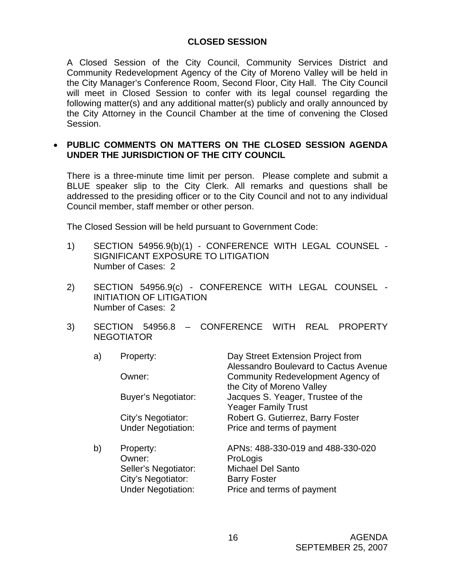## **CLOSED SESSION**

A Closed Session of the City Council, Community Services District and Community Redevelopment Agency of the City of Moreno Valley will be held in the City Manager's Conference Room, Second Floor, City Hall. The City Council will meet in Closed Session to confer with its legal counsel regarding the following matter(s) and any additional matter(s) publicly and orally announced by the City Attorney in the Council Chamber at the time of convening the Closed Session.

## • **PUBLIC COMMENTS ON MATTERS ON THE CLOSED SESSION AGENDA UNDER THE JURISDICTION OF THE CITY COUNCIL**

There is a three-minute time limit per person. Please complete and submit a BLUE speaker slip to the City Clerk. All remarks and questions shall be addressed to the presiding officer or to the City Council and not to any individual Council member, staff member or other person.

The Closed Session will be held pursuant to Government Code:

- 1) SECTION 54956.9(b)(1) CONFERENCE WITH LEGAL COUNSEL SIGNIFICANT EXPOSURE TO LITIGATION Number of Cases: 2
- 2) SECTION 54956.9(c) CONFERENCE WITH LEGAL COUNSEL INITIATION OF LITIGATION Number of Cases: 2
- 3) SECTION 54956.8 CONFERENCE WITH REAL PROPERTY NEGOTIATOR

| a) | Property:                  | Day Street Extension Project from<br>Alessandro Boulevard to Cactus Avenue |
|----|----------------------------|----------------------------------------------------------------------------|
|    | Owner:                     | Community Redevelopment Agency of<br>the City of Moreno Valley             |
|    | <b>Buyer's Negotiator:</b> | Jacques S. Yeager, Trustee of the<br><b>Yeager Family Trust</b>            |
|    | City's Negotiator:         | Robert G. Gutierrez, Barry Foster                                          |
|    | <b>Under Negotiation:</b>  | Price and terms of payment                                                 |
| b) | Property:<br>Owner:        | APNs: 488-330-019 and 488-330-020<br>ProLogis                              |
|    | Seller's Negotiator:       | <b>Michael Del Santo</b>                                                   |
|    | City's Negotiator:         | <b>Barry Foster</b>                                                        |
|    | <b>Under Negotiation:</b>  | Price and terms of payment                                                 |